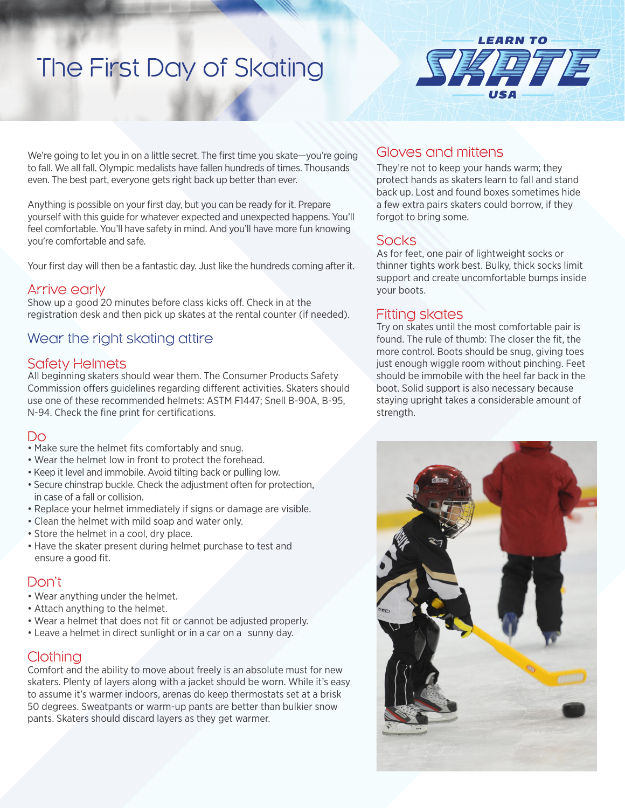# The First Day of Skating



We're going to let you in on a little secret. The first time you skate—you're going to fall. We all fall. Olympic medalists have fallen hundreds of times. Thousands even. The best part, everyone gets right back up better than ever.

Anything is possible on your first day, but you can be ready for it. Prepare yourself with this guide for whatever expected and unexpected happens. You'll feel comfortable. You'll have safety in mind. And you'll have more fun knowing you're comfortable and safe.

Your first day will then be a fantastic day. Just like the hundreds coming after it.

#### Arrive early

Show up a good 20 minutes before class kicks off. Check in at the registration desk and then pick up skates at the rental counter (if needed).

# Wear the right skating attire

#### Safety Helmets

All beginning skaters should wear them. The Consumer Products Safety Commission offers guidelines regarding different activities. Skaters should use one of these recommended helmets: ASTM F1447; Snell B-90A, B-95, N-94. Check the fine print for certifications.

#### Do

- Make sure the helmet fits comfortably and snug.
- Wear the helmet low in front to protect the forehead.
- Keep it level and immobile. Avoid tilting back or pulling low.
- Secure chinstrap buckle. Check the adjustment often for protection, in case of a fall or collision.
- Replace your helmet immediately if signs or damage are visible.
- Clean the helmet with mild soap and water only.
- Store the helmet in a cool, dry place.
- Have the skater present during helmet purchase to test and ensure a good fit.

## Don't

- Wear anything under the helmet.
- Attach anything to the helmet.
- Wear a helmet that does not fit or cannot be adjusted properly.
- Leave a helmet in direct sunlight or in a car on a sunny day.

## **Clothing**

Comfort and the ability to move about freely is an absolute must for new skaters. Plenty of layers along with a jacket should be worn. While it's easy to assume it's warmer indoors, arenas do keep thermostats set at a brisk 50 degrees. Sweatpants or warm-up pants are better than bulkier snow pants. Skaters should discard layers as they get warmer.

## Gloves and mittens

They're not to keep your hands warm; they protect hands as skaters learn to fall and stand back up. Lost and found boxes sometimes hide a few extra pairs skaters could borrow, if they forgot to bring some.

# **Socks**

As for feet, one pair of lightweight socks or thinner tights work best. Bulky, thick socks limit support and create uncomfortable bumps inside your boots.

### Fitting skates

Try on skates until the most comfortable pair is found. The rule of thumb: The closer the fit, the more control. Boots should be snug, giving toes just enough wiggle room without pinching. Feet should be immobile with the heel far back in the boot. Solid support is also necessary because staying upright takes a considerable amount of strength.